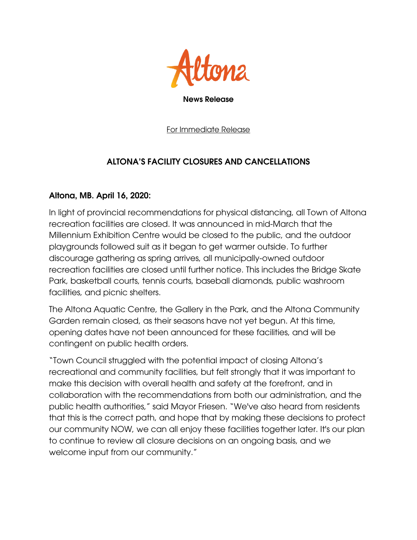

For Immediate Release

## ALTONA'S FACILITY CLOSURES AND CANCELLATIONS

## Altona, MB. April 16, 2020:

In light of provincial recommendations for physical distancing, all Town of Altona recreation facilities are closed. It was announced in mid-March that the Millennium Exhibition Centre would be closed to the public, and the outdoor playgrounds followed suit as it began to get warmer outside. To further discourage gathering as spring arrives, all municipally-owned outdoor recreation facilities are closed until further notice. This includes the Bridge Skate Park, basketball courts, tennis courts, baseball diamonds, public washroom facilities, and picnic shelters.

The Altona Aquatic Centre, the Gallery in the Park, and the Altona Community Garden remain closed, as their seasons have not yet begun. At this time, opening dates have not been announced for these facilities, and will be contingent on public health orders.

"Town Council struggled with the potential impact of closing Altona's recreational and community facilities, but felt strongly that it was important to make this decision with overall health and safety at the forefront, and in collaboration with the recommendations from both our administration, and the public health authorities," said Mayor Friesen. "We've also heard from residents that this is the correct path, and hope that by making these decisions to protect our community NOW, we can all enjoy these facilities together later. It's our plan to continue to review all closure decisions on an ongoing basis, and we welcome input from our community."